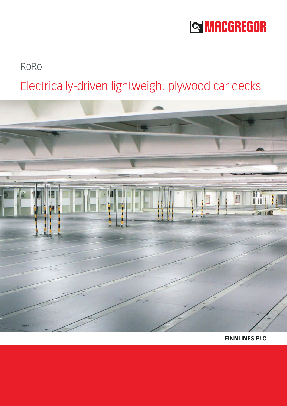# **SS MACGREGOR**

### RoRo

## Electrically-driven lightweight plywood car decks



**FINNLINES PLC**